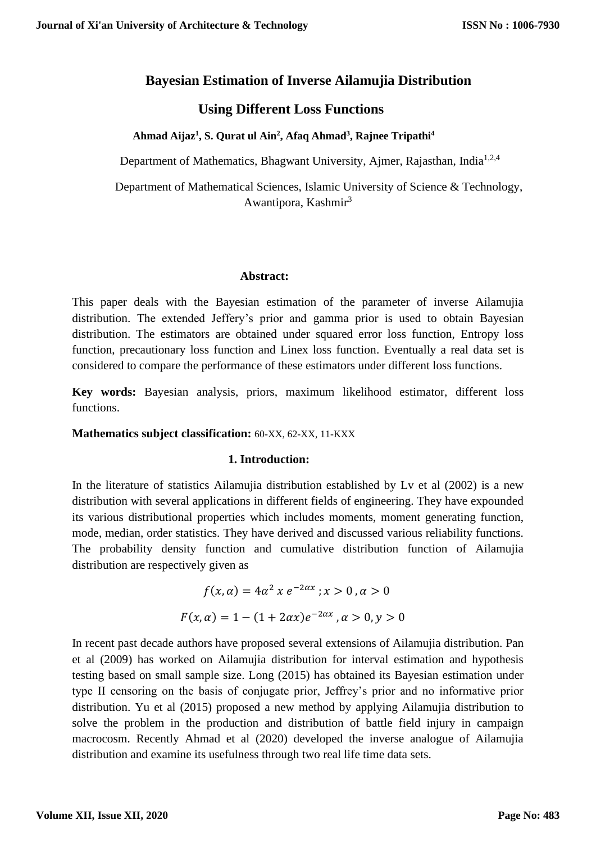# **Bayesian Estimation of Inverse Ailamujia Distribution**

# **Using Different Loss Functions**

 **Ahmad Aijaz<sup>1</sup> , S. Qurat ul Ain<sup>2</sup> , Afaq Ahmad<sup>3</sup> , Rajnee Tripathi<sup>4</sup>**

Department of Mathematics, Bhagwant University, Ajmer, Rajasthan, India<sup>1,2,4</sup>

 Department of Mathematical Sciences, Islamic University of Science & Technology, Awantipora, Kashmir<sup>3</sup>

#### **Abstract:**

This paper deals with the Bayesian estimation of the parameter of inverse Ailamujia distribution. The extended Jeffery's prior and gamma prior is used to obtain Bayesian distribution. The estimators are obtained under squared error loss function, Entropy loss function, precautionary loss function and Linex loss function. Eventually a real data set is considered to compare the performance of these estimators under different loss functions.

**Key words:** Bayesian analysis, priors, maximum likelihood estimator, different loss functions.

#### **Mathematics subject classification:** 60-XX, 62-XX, 11-KXX

#### **1. Introduction:**

In the literature of statistics Ailamujia distribution established by Lv et al (2002) is a new distribution with several applications in different fields of engineering. They have expounded its various distributional properties which includes moments, moment generating function, mode, median, order statistics. They have derived and discussed various reliability functions. The probability density function and cumulative distribution function of Ailamujia distribution are respectively given as

$$
f(x, \alpha) = 4\alpha^2 \, x \, e^{-2\alpha x} \, ; x > 0 \, , \alpha > 0
$$
\n
$$
F(x, \alpha) = 1 - (1 + 2\alpha x) e^{-2\alpha x} \, , \alpha > 0, y > 0
$$

In recent past decade authors have proposed several extensions of Ailamujia distribution. Pan et al (2009) has worked on Ailamujia distribution for interval estimation and hypothesis testing based on small sample size. Long (2015) has obtained its Bayesian estimation under type II censoring on the basis of conjugate prior, Jeffrey's prior and no informative prior distribution. Yu et al (2015) proposed a new method by applying Ailamujia distribution to solve the problem in the production and distribution of battle field injury in campaign macrocosm. Recently Ahmad et al (2020) developed the inverse analogue of Ailamujia distribution and examine its usefulness through two real life time data sets.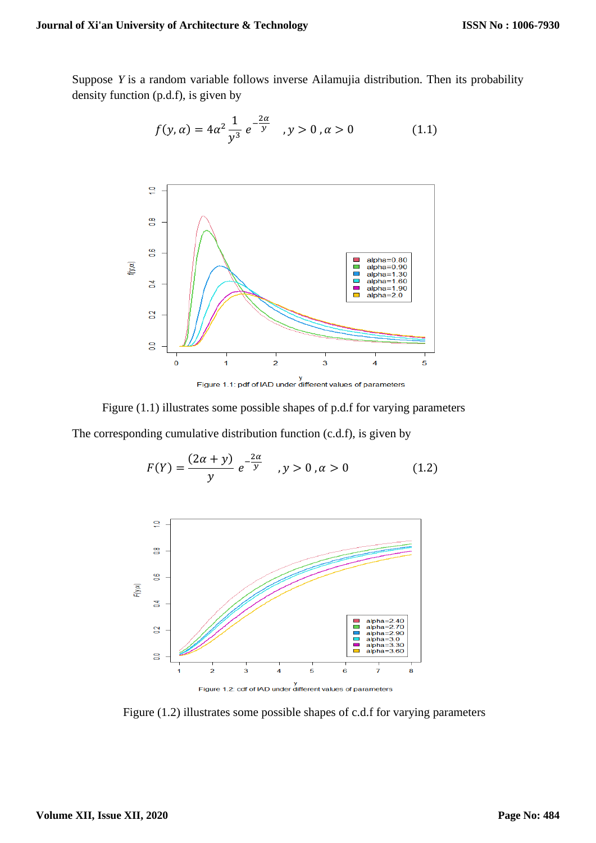Suppose *Y* is a random variable follows inverse Ailamujia distribution. Then its probability density function (p.d.f), is given by

$$
f(y, \alpha) = 4\alpha^2 \frac{1}{y^3} e^{-\frac{2\alpha}{y}}, \quad y > 0, \alpha > 0
$$
 (1.1)



 Figure (1.1) illustrates some possible shapes of p.d.f for varying parameters The corresponding cumulative distribution function (c.d.f), is given by

$$
F(Y) = \frac{(2\alpha + y)}{y} e^{-\frac{2\alpha}{y}}, \quad y > 0, \alpha > 0
$$
 (1.2)



y<br>Figure 1.2: cdf of IAD under different values of parameters

Figure (1.2) illustrates some possible shapes of c.d.f for varying parameters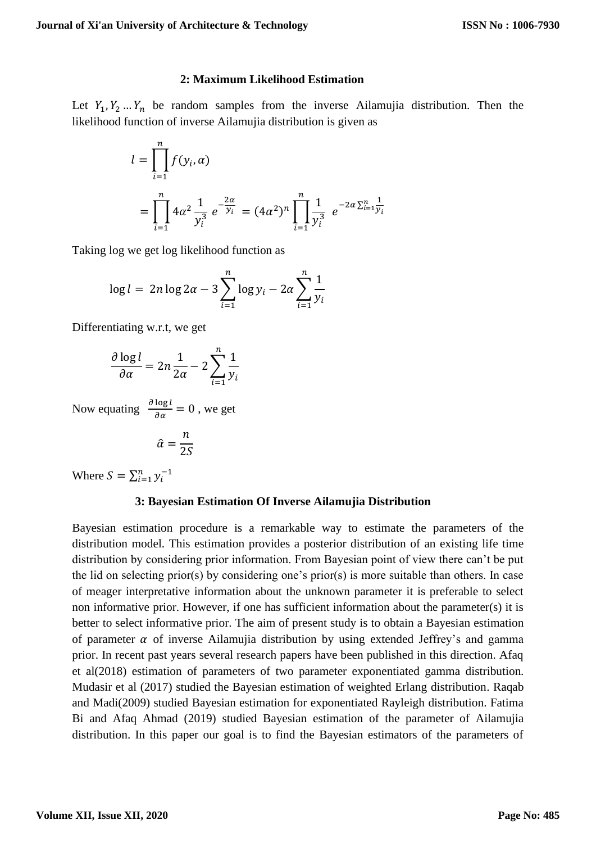## **2: Maximum Likelihood Estimation**

Let  $Y_1, Y_2, \ldots, Y_n$  be random samples from the inverse Ailamujia distribution. Then the likelihood function of inverse Ailamujia distribution is given as

$$
l = \prod_{i=1}^{n} f(y_i, \alpha)
$$
  
= 
$$
\prod_{i=1}^{n} 4\alpha^2 \frac{1}{y_i^3} e^{-\frac{2\alpha}{y_i}} = (4\alpha^2)^n \prod_{i=1}^{n} \frac{1}{y_i^3} e^{-2\alpha \sum_{i=1}^{n} \frac{1}{y_i}}
$$

Taking log we get log likelihood function as

$$
\log l = 2n \log 2\alpha - 3 \sum_{i=1}^{n} \log y_i - 2\alpha \sum_{i=1}^{n} \frac{1}{y_i}
$$

Differentiating w.r.t, we get

$$
\frac{\partial \log l}{\partial \alpha} = 2n \frac{1}{2\alpha} - 2 \sum_{i=1}^{n} \frac{1}{y_i}
$$

Now equating  $\frac{\partial \log l}{\partial \alpha} = 0$ , we get

$$
\hat{\alpha} = \frac{n}{2S}
$$

Where  $S = \sum_{i=1}^{n} y_i^{-1}$ 

# **3: Bayesian Estimation Of Inverse Ailamujia Distribution**

Bayesian estimation procedure is a remarkable way to estimate the parameters of the distribution model. This estimation provides a posterior distribution of an existing life time distribution by considering prior information. From Bayesian point of view there can't be put the lid on selecting prior(s) by considering one's prior(s) is more suitable than others. In case of meager interpretative information about the unknown parameter it is preferable to select non informative prior. However, if one has sufficient information about the parameter(s) it is better to select informative prior. The aim of present study is to obtain a Bayesian estimation of parameter  $\alpha$  of inverse Ailamujia distribution by using extended Jeffrey's and gamma prior. In recent past years several research papers have been published in this direction. Afaq et al(2018) estimation of parameters of two parameter exponentiated gamma distribution. Mudasir et al (2017) studied the Bayesian estimation of weighted Erlang distribution. Raqab and Madi(2009) studied Bayesian estimation for exponentiated Rayleigh distribution. Fatima Bi and Afaq Ahmad (2019) studied Bayesian estimation of the parameter of Ailamujia distribution. In this paper our goal is to find the Bayesian estimators of the parameters of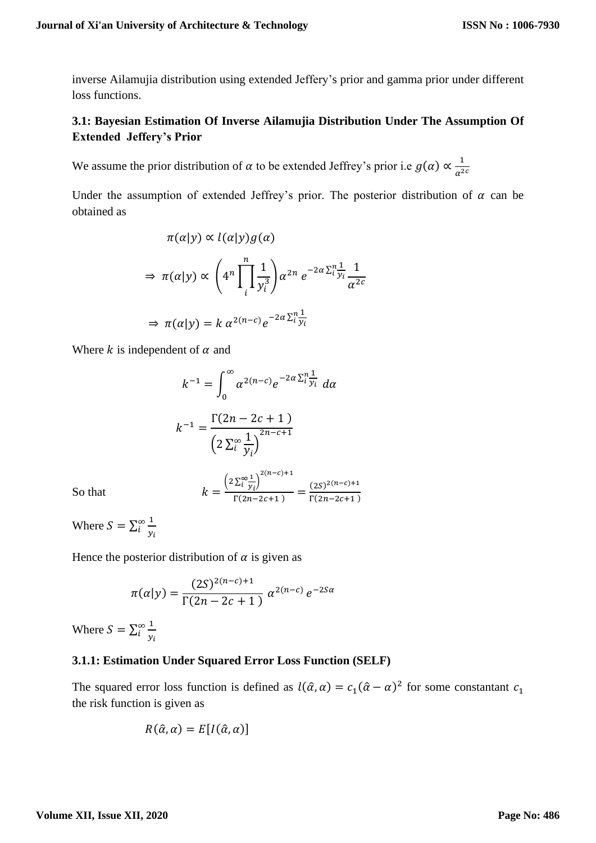inverse Ailamujia distribution using extended Jeffery's prior and gamma prior under different loss functions.

# **3.1: Bayesian Estimation Of Inverse Ailamujia Distribution Under The Assumption Of Extended Jeffery's Prior**

We assume the prior distribution of  $\alpha$  to be extended Jeffrey's prior i.e  $g(\alpha) \propto \frac{1}{\sqrt{2}}$  $\alpha^{2c}$ 

Under the assumption of extended Jeffrey's prior. The posterior distribution of  $\alpha$  can be obtained as

$$
\pi(\alpha|y) \propto l(\alpha|y)g(\alpha)
$$
\n
$$
\Rightarrow \pi(\alpha|y) \propto \left(4^n \prod_{i=1}^n \frac{1}{y_i^3}\right) \alpha^{2n} e^{-2\alpha \sum_{i=1}^n \frac{1}{y_i}} \frac{1}{\alpha^{2c}}
$$
\n
$$
\Rightarrow \pi(\alpha|y) = k \alpha^{2(n-c)} e^{-2\alpha \sum_{i=1}^n \frac{1}{y_i}}
$$

Where k is independent of  $\alpha$  and

$$
k^{-1} = \int_0^\infty \alpha^{2(n-c)} e^{-2\alpha \sum_{i}^n \frac{1}{y_i}} d\alpha
$$

$$
k^{-1} = \frac{\Gamma(2n - 2c + 1)}{\left(2 \sum_{i}^\infty \frac{1}{y_i}\right)^{2n - c + 1}}
$$

So that  $k$ 

$$
z = \frac{\left(2\sum_{i=1}^{\infty} \frac{1}{y_i}\right)^{2(n-c)+1}}{\Gamma(2n-2c+1)} = \frac{(2S)^{2(n-c)+1}}{\Gamma(2n-2c+1)}
$$

Where  $S = \sum_{i=1}^{\infty} \frac{1}{i}$  $y_i$ ∞<br>i

Hence the posterior distribution of  $\alpha$  is given as

$$
\pi(\alpha|y) = \frac{(2S)^{2(n-c)+1}}{\Gamma(2n-2c+1)} \alpha^{2(n-c)} e^{-2S\alpha}
$$

Where  $S = \sum_{i=1}^{\infty} \frac{1}{i}$  $y_i$ ∞<br>i

# **3.1.1: Estimation Under Squared Error Loss Function (SELF)**

The squared error loss function is defined as  $l(\hat{\alpha}, \alpha) = c_1(\hat{\alpha} - \alpha)^2$  for some constantant  $c_1$ the risk function is given as

$$
R(\hat{\alpha}, \alpha) = E[I(\hat{\alpha}, \alpha)]
$$

#### **Volume XII, Issue XII, 2020**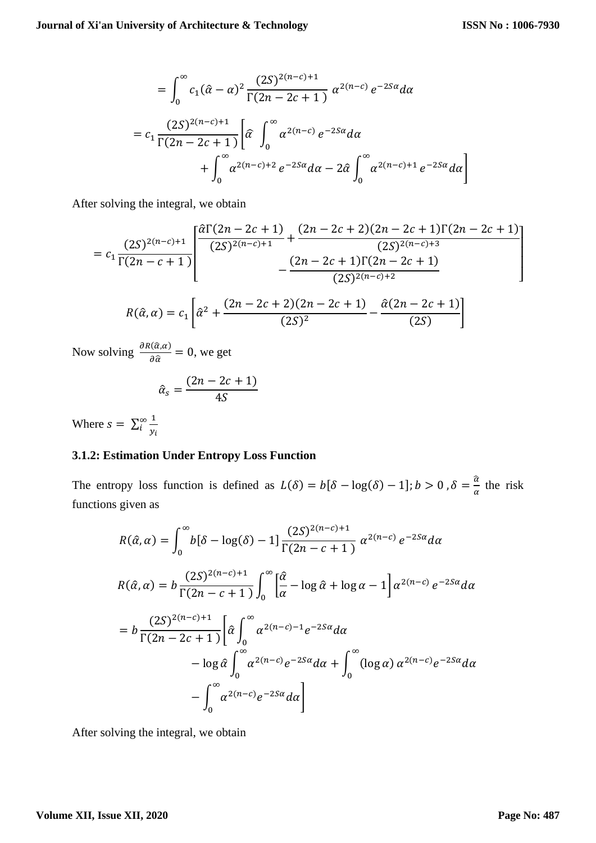$$
= \int_0^{\infty} c_1(\hat{\alpha} - \alpha)^2 \frac{(2S)^{2(n-c)+1}}{\Gamma(2n - 2c + 1)} \alpha^{2(n-c)} e^{-2S\alpha} d\alpha
$$
  

$$
= c_1 \frac{(2S)^{2(n-c)+1}}{\Gamma(2n - 2c + 1)} \left[ \hat{\alpha} \int_0^{\infty} \alpha^{2(n-c)} e^{-2S\alpha} d\alpha + \int_0^{\infty} \alpha^{2(n-c)+1} e^{-2S\alpha} d\alpha \right]
$$

After solving the integral, we obtain

$$
= c_1 \frac{(2S)^{2(n-c)+1}}{\Gamma(2n-c+1)} \left[ \frac{\hat{\alpha}\Gamma(2n-2c+1)}{(2S)^{2(n-c)+1}} + \frac{(2n-2c+2)(2n-2c+1)\Gamma(2n-2c+1)}{(2S)^{2(n-c)+3}} - \frac{(2n-2c+1)\Gamma(2n-2c+1)}{(2S)^{2(n-c)+2}} \right]
$$
  

$$
R(\hat{\alpha}, \alpha) = c_1 \left[ \hat{\alpha}^2 + \frac{(2n-2c+2)(2n-2c+1)}{(2S)^2} - \frac{\hat{\alpha}(2n-2c+1)}{(2S)} \right]
$$

Now solving  $\frac{\partial R(\hat{\alpha},\alpha)}{\partial \hat{\beta}}$  $\frac{\partial (u,\alpha)}{\partial \hat{\alpha}}=0$ , we get

$$
\hat{\alpha}_s = \frac{(2n - 2c + 1)}{4S}
$$

Where  $s = \sum_{i=1}^{\infty} \frac{1}{i}$  $y_i$ ∞<br>i

## **3.1.2: Estimation Under Entropy Loss Function**

The entropy loss function is defined as  $L(\delta) = b[\delta - \log(\delta) - 1]$ ;  $b > 0$ ,  $\delta = \frac{\hat{a}}{b}$  $\frac{a}{\alpha}$  the risk functions given as

$$
R(\hat{\alpha}, \alpha) = \int_0^{\infty} b[\delta - \log(\delta) - 1] \frac{(2S)^{2(n-c)+1}}{\Gamma(2n - c + 1)} \alpha^{2(n-c)} e^{-2S\alpha} d\alpha
$$
  
\n
$$
R(\hat{\alpha}, \alpha) = b \frac{(2S)^{2(n-c)+1}}{\Gamma(2n - c + 1)} \int_0^{\infty} \left[ \frac{\hat{\alpha}}{\alpha} - \log \hat{\alpha} + \log \alpha - 1 \right] \alpha^{2(n-c)} e^{-2S\alpha} d\alpha
$$
  
\n
$$
= b \frac{(2S)^{2(n-c)+1}}{\Gamma(2n - 2c + 1)} \left[ \hat{\alpha} \int_0^{\infty} \alpha^{2(n-c)-1} e^{-2S\alpha} d\alpha - \log \hat{\alpha} \int_0^{\infty} \alpha^{2(n-c)} e^{-2S\alpha} d\alpha + \int_0^{\infty} (\log \alpha) \alpha^{2(n-c)} e^{-2S\alpha} d\alpha - \int_0^{\infty} \alpha^{2(n-c)} e^{-2S\alpha} d\alpha \right]
$$

After solving the integral, we obtain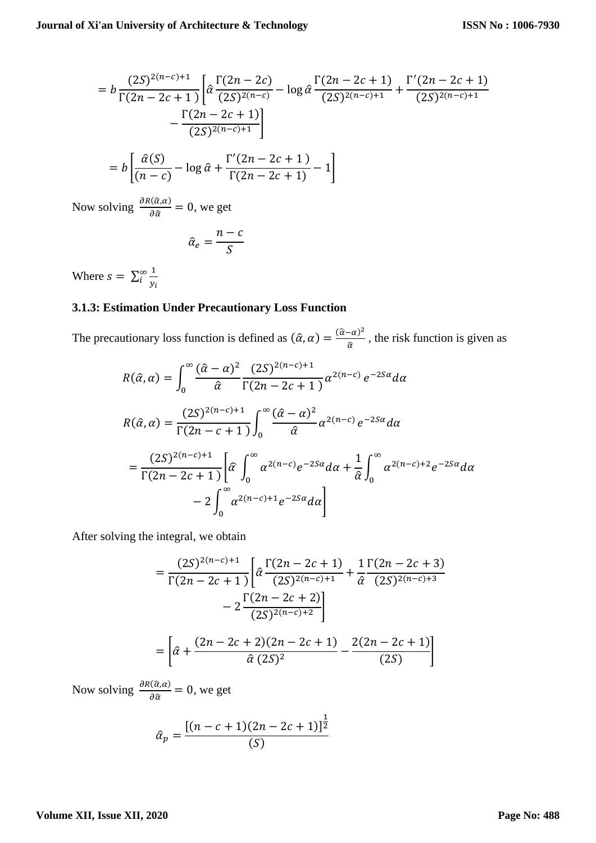$$
= b \frac{(2S)^{2(n-c)+1}}{\Gamma(2n-2c+1)} \left[ \hat{\alpha} \frac{\Gamma(2n-2c)}{(2S)^{2(n-c)}} - \log \hat{\alpha} \frac{\Gamma(2n-2c+1)}{(2S)^{2(n-c)+1}} + \frac{\Gamma'(2n-2c+1)}{(2S)^{2(n-c)+1}} - \frac{\Gamma(2n-2c+1)}{(2S)^{2(n-c)+1}} \right]
$$
  
=  $b \left[ \frac{\hat{\alpha}(S)}{(n-c)} - \log \hat{\alpha} + \frac{\Gamma'(2n-2c+1)}{\Gamma(2n-2c+1)} - 1 \right]$ 

Now solving  $\frac{\partial R(\hat{\alpha}, \alpha)}{\partial \hat{\alpha}} = 0$ , we get

$$
\hat{\alpha}_e = \frac{n-c}{S}
$$

Where  $s = \sum_{i=1}^{\infty} \frac{1}{i}$  $y_i$ ∞<br>i

# **3.1.3: Estimation Under Precautionary Loss Function**

The precautionary loss function is defined as  $(\hat{\alpha}, \alpha) = \frac{(\hat{\alpha} - \alpha)^2}{\hat{\alpha}}$  $\frac{a}{\hat{\alpha}}$ , the risk function is given as

$$
R(\hat{\alpha}, \alpha) = \int_0^{\infty} \frac{(\hat{\alpha} - \alpha)^2}{\hat{\alpha}} \frac{(2S)^{2(n-c)+1}}{\Gamma(2n - 2c + 1)} \alpha^{2(n-c)} e^{-2S\alpha} d\alpha
$$
  
\n
$$
R(\hat{\alpha}, \alpha) = \frac{(2S)^{2(n-c)+1}}{\Gamma(2n - c + 1)} \int_0^{\infty} \frac{(\hat{\alpha} - \alpha)^2}{\hat{\alpha}} \alpha^{2(n-c)} e^{-2S\alpha} d\alpha
$$
  
\n
$$
= \frac{(2S)^{2(n-c)+1}}{\Gamma(2n - 2c + 1)} \left[ \hat{\alpha} \int_0^{\infty} \alpha^{2(n-c)} e^{-2S\alpha} d\alpha + \frac{1}{\hat{\alpha}} \int_0^{\infty} \alpha^{2(n-c)+2} e^{-2S\alpha} d\alpha \right]
$$
  
\n
$$
- 2 \int_0^{\infty} \alpha^{2(n-c)+1} e^{-2S\alpha} d\alpha
$$

After solving the integral, we obtain

$$
= \frac{(2S)^{2(n-c)+1}}{\Gamma(2n-2c+1)} \left[ \hat{\alpha} \frac{\Gamma(2n-2c+1)}{(2S)^{2(n-c)+1}} + \frac{1}{\hat{\alpha}} \frac{\Gamma(2n-2c+3)}{(2S)^{2(n-c)+3}} - 2 \frac{\Gamma(2n-2c+2)}{(2S)^{2(n-c)+2}} \right]
$$

$$
= \left[ \hat{\alpha} + \frac{(2n-2c+2)(2n-2c+1)}{\hat{\alpha}(2S)^2} - \frac{2(2n-2c+1)}{(2S)} \right]
$$

Now solving  $\frac{\partial R(\hat{\alpha}, \alpha)}{\partial \hat{\alpha}} = 0$ , we get

$$
\hat{\alpha}_p = \frac{[(n-c+1)(2n-2c+1)]^{\frac{1}{2}}}{(S)}
$$

### **Volume XII, Issue XII, 2020**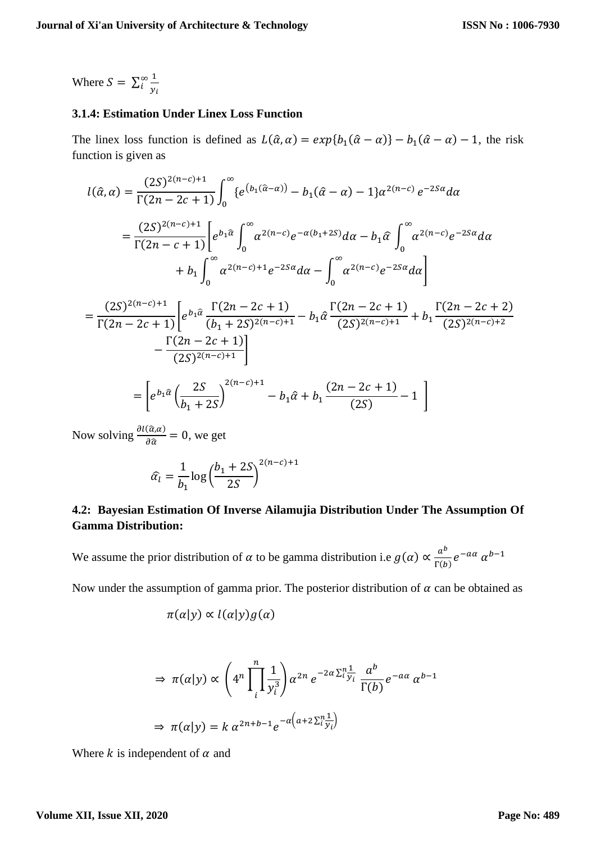Where  $S = \sum_{i=1}^{\infty} \frac{1}{i}$  $y_i$ ∞<br>i

#### **3.1.4: Estimation Under Linex Loss Function**

The linex loss function is defined as  $L(\hat{\alpha}, \alpha) = exp{b_1(\hat{\alpha} - \alpha)} - b_1(\hat{\alpha} - \alpha) - 1$ , the risk function is given as

$$
l(\hat{\alpha}, \alpha) = \frac{(2S)^{2(n-c)+1}}{\Gamma(2n - 2c + 1)} \int_0^{\infty} \{e^{(b_1(\hat{\alpha} - \alpha))} - b_1(\hat{\alpha} - \alpha) - 1\} \alpha^{2(n-c)} e^{-2S\alpha} d\alpha
$$
  
\n
$$
= \frac{(2S)^{2(n-c)+1}}{\Gamma(2n - c + 1)} \Bigg[ e^{b_1 \hat{\alpha}} \int_0^{\infty} \alpha^{2(n-c)} e^{-\alpha(b_1 + 2S)} d\alpha - b_1 \hat{\alpha} \int_0^{\infty} \alpha^{2(n-c)} e^{-2S\alpha} d\alpha
$$
  
\n
$$
+ b_1 \int_0^{\infty} \alpha^{2(n-c)+1} e^{-2S\alpha} d\alpha - \int_0^{\infty} \alpha^{2(n-c)} e^{-2S\alpha} d\alpha \Bigg]
$$
  
\n
$$
= \frac{(2S)^{2(n-c)+1}}{\Gamma(2n - 2c + 1)} \Bigg[ e^{b_1 \hat{\alpha}} \frac{\Gamma(2n - 2c + 1)}{(b_1 + 2S)^{2(n-c)+1}} - b_1 \hat{\alpha} \frac{\Gamma(2n - 2c + 1)}{(2S)^{2(n-c)+1}} + b_1 \frac{\Gamma(2n - 2c + 2)}{(2S)^{2(n-c)+2}} - \frac{\Gamma(2n - 2c + 1)}{(2S)^{2(n-c)+1}} \Bigg]
$$
  
\n
$$
= \Bigg[ e^{b_1 \hat{\alpha}} \Bigg( \frac{2S}{b_1 + 2S} \Bigg)^{2(n-c)+1} - b_1 \hat{\alpha} + b_1 \frac{(2n - 2c + 1)}{(2S)} - 1 \Bigg]
$$
  
\nNow solving  $\frac{\partial l(\hat{\alpha}, \alpha)}{\partial \hat{\alpha}} = 0$ , we get

$$
\hat{\alpha}_l = \frac{1}{b_1} \log \left( \frac{b_1 + 2S}{2S} \right)^{2(n-c)+1}
$$

# **4.2: Bayesian Estimation Of Inverse Ailamujia Distribution Under The Assumption Of Gamma Distribution:**

We assume the prior distribution of  $\alpha$  to be gamma distribution i.e  $g(\alpha) \propto \frac{a^b}{\Gamma(b)}$  $\frac{a^b}{\Gamma(b)}e^{-a\alpha} \alpha^{b-1}$ 

Now under the assumption of gamma prior. The posterior distribution of  $\alpha$  can be obtained as

$$
\pi(\alpha|y) \propto l(\alpha|y)g(\alpha)
$$

$$
\Rightarrow \pi(\alpha|y) \propto \left(4^n \prod_{i=1}^n \frac{1}{y_i^3}\right) \alpha^{2n} e^{-2\alpha \sum_{i=1}^n \frac{a^b}{y_i}} \frac{a^b}{\Gamma(b)} e^{-a\alpha} \alpha^{b-1}
$$

$$
\Rightarrow \pi(\alpha|y) = k \alpha^{2n+b-1} e^{-\alpha \left(a+2\sum_{i=1}^n \frac{1}{y_i}\right)}
$$

Where  $k$  is independent of  $\alpha$  and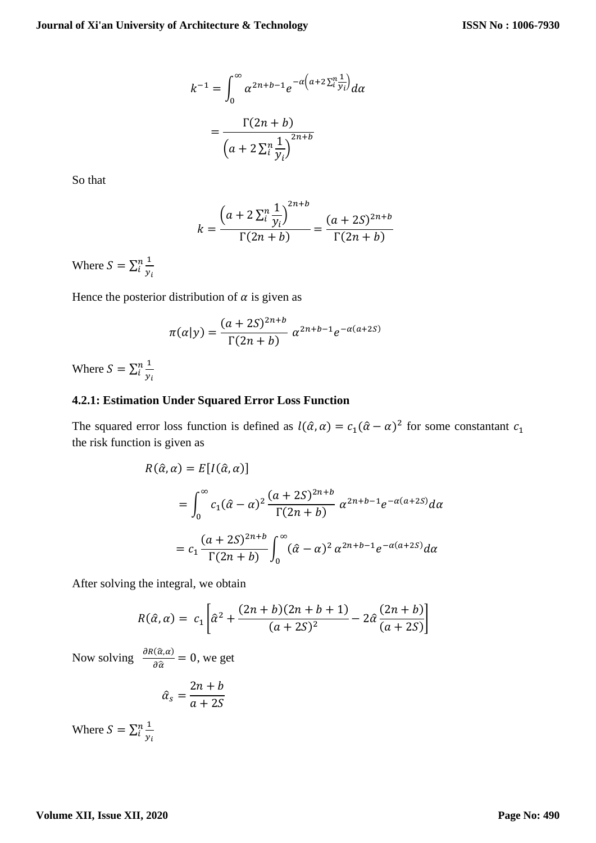$$
k^{-1} = \int_0^\infty \alpha^{2n+b-1} e^{-\alpha \left(a+2\sum_{i}^n \frac{1}{y_i}\right)} d\alpha
$$

$$
= \frac{\Gamma(2n+b)}{\left(a+2\sum_{i}^n \frac{1}{y_i}\right)^{2n+b}}
$$

So that

$$
k = \frac{\left(a + 2\sum_{i}^{n} \frac{1}{y_i}\right)^{2n+b}}{\Gamma(2n+b)} = \frac{(a + 2S)^{2n+b}}{\Gamma(2n+b)}
$$

Where  $S = \sum_{i=1}^{n} \frac{1}{n}$  $y_i$ n<br>i

Hence the posterior distribution of  $\alpha$  is given as

$$
\pi(\alpha|y) = \frac{(a+2S)^{2n+b}}{\Gamma(2n+b)} \alpha^{2n+b-1} e^{-\alpha(a+2S)}
$$

Where  $S = \sum_{i=1}^{n} \frac{1}{n}$  $y_i$ n<br>i

## **4.2.1: Estimation Under Squared Error Loss Function**

The squared error loss function is defined as  $l(\hat{\alpha}, \alpha) = c_1(\hat{\alpha} - \alpha)^2$  for some constantant  $c_1$ the risk function is given as

$$
R(\hat{\alpha}, \alpha) = E[I(\hat{\alpha}, \alpha)]
$$
  
= 
$$
\int_0^{\infty} c_1(\hat{\alpha} - \alpha)^2 \frac{(a + 2S)^{2n + b}}{\Gamma(2n + b)} \alpha^{2n + b - 1} e^{-\alpha(a + 2S)} d\alpha
$$
  
= 
$$
c_1 \frac{(a + 2S)^{2n + b}}{\Gamma(2n + b)} \int_0^{\infty} (\hat{\alpha} - \alpha)^2 \alpha^{2n + b - 1} e^{-\alpha(a + 2S)} d\alpha
$$

After solving the integral, we obtain

$$
R(\hat{\alpha}, \alpha) = c_1 \left[ \hat{\alpha}^2 + \frac{(2n+b)(2n+b+1)}{(a+2S)^2} - 2\hat{\alpha} \frac{(2n+b)}{(a+2S)} \right]
$$

Now solving  $\frac{\partial R(\hat{\alpha}, \alpha)}{\partial \hat{\alpha}} = 0$ , we get

$$
\hat{\alpha}_s = \frac{2n+b}{a+2S}
$$

Where  $S = \sum_{i=1}^{n} \frac{1}{n}$  $y_i$ n<br>i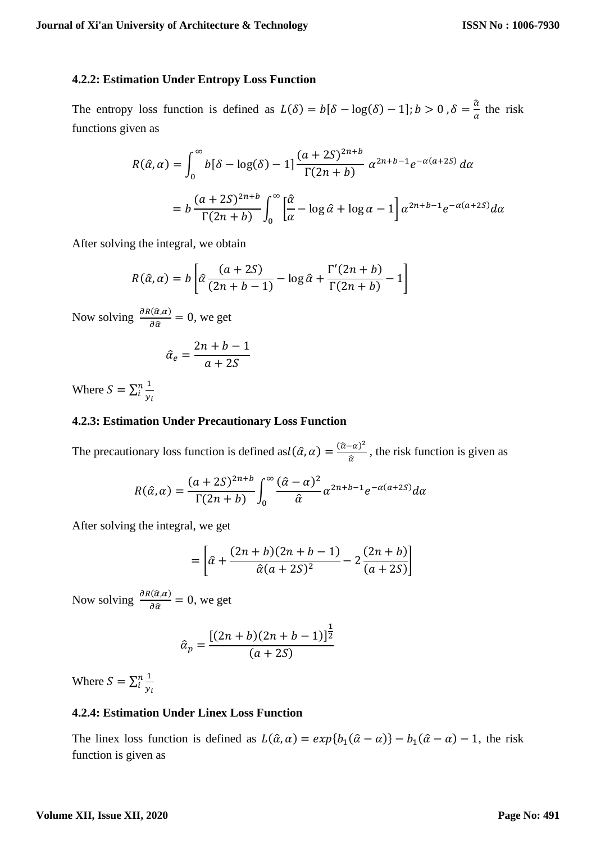### **4.2.2: Estimation Under Entropy Loss Function**

The entropy loss function is defined as  $L(\delta) = b[\delta - \log(\delta) - 1]; b > 0, \delta = \frac{\hat{a}}{a}$  $\frac{a}{\alpha}$  the risk functions given as

$$
R(\hat{\alpha}, \alpha) = \int_0^\infty b[\delta - \log(\delta) - 1] \frac{(a + 2S)^{2n + b}}{\Gamma(2n + b)} \alpha^{2n + b - 1} e^{-\alpha(a + 2S)} d\alpha
$$
  
= 
$$
b \frac{(a + 2S)^{2n + b}}{\Gamma(2n + b)} \int_0^\infty \left[ \frac{\hat{\alpha}}{\alpha} - \log \hat{\alpha} + \log \alpha - 1 \right] \alpha^{2n + b - 1} e^{-\alpha(a + 2S)} d\alpha
$$

After solving the integral, we obtain

$$
R(\hat{\alpha}, \alpha) = b \left[ \hat{\alpha} \frac{(a+2S)}{(2n+b-1)} - \log \hat{\alpha} + \frac{\Gamma'(2n+b)}{\Gamma(2n+b)} - 1 \right]
$$

Now solving  $\frac{\partial R(\hat{\alpha}, \alpha)}{\partial \hat{\alpha}} = 0$ , we get

$$
\hat{\alpha}_e = \frac{2n + b - 1}{a + 2S}
$$

Where  $S = \sum_{i=1}^{n} \frac{1}{n}$  $y_i$ n<br>i

#### **4.2.3: Estimation Under Precautionary Loss Function**

The precautionary loss function is defined as  $l(\hat{\alpha}, \alpha) = \frac{(\hat{\alpha} - \alpha)^2}{\hat{\alpha}}$  $\frac{-a}{a}$ , the risk function is given as

$$
R(\hat{\alpha}, \alpha) = \frac{(a+2S)^{2n+b}}{\Gamma(2n+b)} \int_0^\infty \frac{(\hat{\alpha}-\alpha)^2}{\hat{\alpha}} \alpha^{2n+b-1} e^{-\alpha(a+2S)} d\alpha
$$

After solving the integral, we get

$$
= \left[ \hat{a} + \frac{(2n+b)(2n+b-1)}{\hat{a}(a+2S)^2} - 2\frac{(2n+b)}{(a+2S)} \right]
$$

Now solving  $\frac{\partial R(\hat{\alpha}, \alpha)}{\partial \hat{\alpha}} = 0$ , we get

$$
\hat{a}_p = \frac{[(2n+b)(2n+b-1)]^{\frac{1}{2}}}{(a+2S)}
$$

Where  $S = \sum_{i=1}^{n} \frac{1}{n}$  $y_i$ n<br>i

# **4.2.4: Estimation Under Linex Loss Function**

The linex loss function is defined as  $L(\hat{\alpha}, \alpha) = exp{b_1(\hat{\alpha} - \alpha)} - b_1(\hat{\alpha} - \alpha) - 1$ , the risk function is given as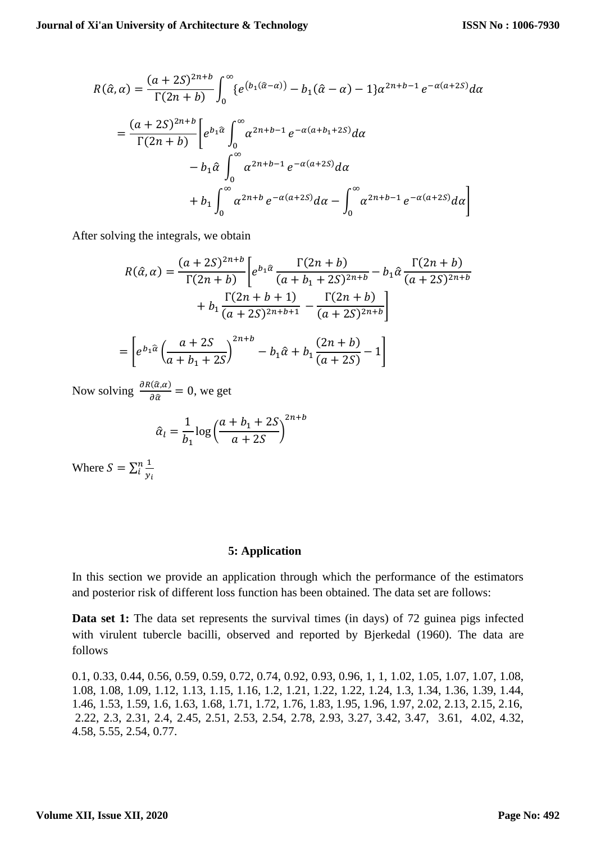$$
R(\hat{\alpha}, \alpha) = \frac{(a+2S)^{2n+b}}{\Gamma(2n+b)} \int_0^{\infty} \{e^{(b_1(\hat{\alpha}-\alpha))} - b_1(\hat{\alpha}-\alpha) - 1\} \alpha^{2n+b-1} e^{-\alpha(a+2S)} d\alpha
$$
  
= 
$$
\frac{(a+2S)^{2n+b}}{\Gamma(2n+b)} \left[ e^{b_1 \hat{\alpha}} \int_0^{\infty} \alpha^{2n+b-1} e^{-\alpha(a+b_1+2S)} d\alpha + b_1 \int_0^{\infty} \alpha^{2n+b} e^{-\alpha(a+2S)} d\alpha + b_1 \int_0^{\infty} \alpha^{2n+b} e^{-\alpha(a+2S)} d\alpha - \int_0^{\infty} \alpha^{2n+b-1} e^{-\alpha(a+2S)} d\alpha \right]
$$

After solving the integrals, we obtain

$$
R(\hat{\alpha}, \alpha) = \frac{(a+2S)^{2n+b}}{\Gamma(2n+b)} \bigg[ e^{b_1 \hat{\alpha}} \frac{\Gamma(2n+b)}{(a+b_1+2S)^{2n+b}} - b_1 \hat{\alpha} \frac{\Gamma(2n+b)}{(a+2S)^{2n+b}} + b_1 \frac{\Gamma(2n+b+1)}{(a+2S)^{2n+b+1}} - \frac{\Gamma(2n+b)}{(a+2S)^{2n+b}} \bigg]
$$

$$
= \bigg[ e^{b_1 \hat{\alpha}} \bigg( \frac{a+2S}{a+b_1+2S} \bigg)^{2n+b} - b_1 \hat{\alpha} + b_1 \frac{(2n+b)}{(a+2S)} - 1 \bigg]
$$

Now solving  $\frac{\partial R(\hat{\alpha}, \alpha)}{\partial \hat{\alpha}} = 0$ , we get

$$
\hat{\alpha}_l = \frac{1}{b_1} \log \left( \frac{a+b_1+2S}{a+2S} \right)^{2n+b}
$$

Where  $S = \sum_{i=1}^{n} \frac{1}{n}$  $y_i$ n<br>i

#### **5: Application**

In this section we provide an application through which the performance of the estimators and posterior risk of different loss function has been obtained. The data set are follows:

**Data set 1:** The data set represents the survival times (in days) of 72 guinea pigs infected with virulent tubercle bacilli, observed and reported by Bjerkedal (1960). The data are follows

0.1, 0.33, 0.44, 0.56, 0.59, 0.59, 0.72, 0.74, 0.92, 0.93, 0.96, 1, 1, 1.02, 1.05, 1.07, 1.07, 1.08, 1.08, 1.08, 1.09, 1.12, 1.13, 1.15, 1.16, 1.2, 1.21, 1.22, 1.22, 1.24, 1.3, 1.34, 1.36, 1.39, 1.44, 1.46, 1.53, 1.59, 1.6, 1.63, 1.68, 1.71, 1.72, 1.76, 1.83, 1.95, 1.96, 1.97, 2.02, 2.13, 2.15, 2.16, 2.22, 2.3, 2.31, 2.4, 2.45, 2.51, 2.53, 2.54, 2.78, 2.93, 3.27, 3.42, 3.47, 3.61, 4.02, 4.32, 4.58, 5.55, 2.54, 0.77.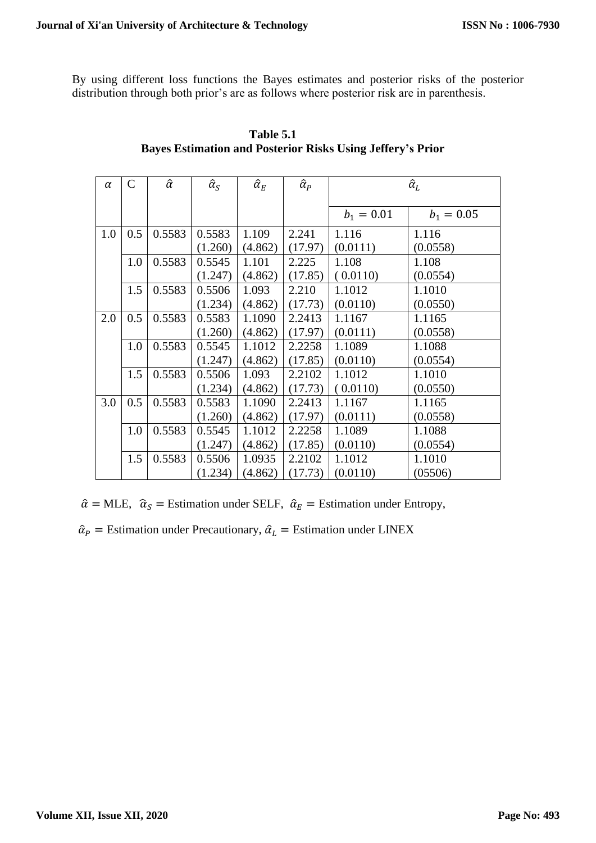By using different loss functions the Bayes estimates and posterior risks of the posterior distribution through both prior's are as follows where posterior risk are in parenthesis.

| $\alpha$ | $\mathsf{C}$ | $\hat{\alpha}$ | $\hat{\alpha}_S$ | $\hat{\alpha}_E$ | $\hat{\alpha}_P$ | $\hat{\alpha}_L$ |              |
|----------|--------------|----------------|------------------|------------------|------------------|------------------|--------------|
|          |              |                |                  |                  |                  | $b_1 = 0.01$     | $b_1 = 0.05$ |
| 1.0      | 0.5          | 0.5583         | 0.5583           | 1.109            | 2.241            | 1.116            | 1.116        |
|          |              |                | (1.260)          | (4.862)          | (17.97)          | (0.0111)         | (0.0558)     |
|          | 1.0          | 0.5583         | 0.5545           | 1.101            | 2.225            | 1.108            | 1.108        |
|          |              |                | (1.247)          | (4.862)          | (17.85)          | (0.0110)         | (0.0554)     |
|          | 1.5          | 0.5583         | 0.5506           | 1.093            | 2.210            | 1.1012           | 1.1010       |
|          |              |                | (1.234)          | (4.862)          | (17.73)          | (0.0110)         | (0.0550)     |
| 2.0      | 0.5          | 0.5583         | 0.5583           | 1.1090           | 2.2413           | 1.1167           | 1.1165       |
|          |              |                | (1.260)          | (4.862)          | (17.97)          | (0.0111)         | (0.0558)     |
|          | 1.0          | 0.5583         | 0.5545           | 1.1012           | 2.2258           | 1.1089           | 1.1088       |
|          |              |                | (1.247)          | (4.862)          | (17.85)          | (0.0110)         | (0.0554)     |
|          | 1.5          | 0.5583         | 0.5506           | 1.093            | 2.2102           | 1.1012           | 1.1010       |
|          |              |                | (1.234)          | (4.862)          | (17.73)          | (0.0110)         | (0.0550)     |
| 3.0      | 0.5          | 0.5583         | 0.5583           | 1.1090           | 2.2413           | 1.1167           | 1.1165       |
|          |              |                | (1.260)          | (4.862)          | (17.97)          | (0.0111)         | (0.0558)     |
|          | 1.0          | 0.5583         | 0.5545           | 1.1012           | 2.2258           | 1.1089           | 1.1088       |
|          |              |                | (1.247)          | (4.862)          | (17.85)          | (0.0110)         | (0.0554)     |
|          | 1.5          | 0.5583         | 0.5506           | 1.0935           | 2.2102           | 1.1012           | 1.1010       |
|          |              |                | (1.234)          | (4.862)          | (17.73)          | (0.0110)         | (05506)      |

 **Table 5.1 Bayes Estimation and Posterior Risks Using Jeffery's Prior**

 $\hat{\alpha}$  = MLE,  $\hat{\alpha}_s$  = Estimation under SELF,  $\hat{\alpha}_E$  = Estimation under Entropy,

 $\hat{\alpha}_P$  = Estimation under Precautionary,  $\hat{\alpha}_L$  = Estimation under LINEX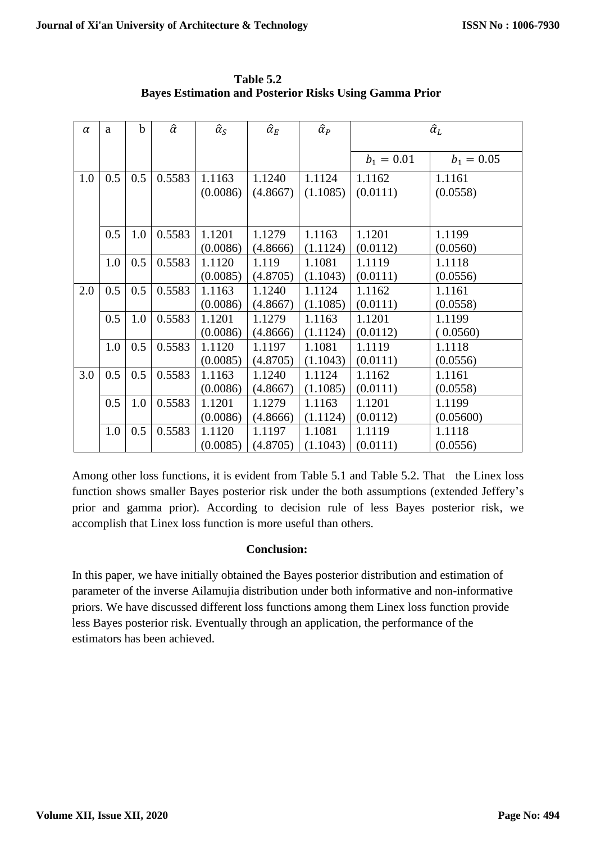| $\alpha$ | a   | $\mathbf b$ | $\hat{\alpha}$ | $\hat{\alpha}_{\rm S}$ | $\hat{\alpha}_E$ | $\hat{\alpha}_P$ | $\hat{\alpha}_L$ |              |
|----------|-----|-------------|----------------|------------------------|------------------|------------------|------------------|--------------|
|          |     |             |                |                        |                  |                  |                  |              |
|          |     |             |                |                        |                  |                  | $b_1 = 0.01$     | $b_1 = 0.05$ |
| 1.0      | 0.5 | 0.5         | 0.5583         | 1.1163                 | 1.1240           | 1.1124           | 1.1162           | 1.1161       |
|          |     |             |                | (0.0086)               | (4.8667)         | (1.1085)         | (0.0111)         | (0.0558)     |
|          |     |             |                |                        |                  |                  |                  |              |
|          | 0.5 | 1.0         | 0.5583         | 1.1201                 | 1.1279           | 1.1163           | 1.1201           | 1.1199       |
|          |     |             |                | (0.0086)               | (4.8666)         | (1.1124)         | (0.0112)         | (0.0560)     |
|          | 1.0 | 0.5         | 0.5583         | 1.1120                 | 1.119            | 1.1081           | 1.1119           | 1.1118       |
|          |     |             |                | (0.0085)               | (4.8705)         | (1.1043)         | (0.0111)         | (0.0556)     |
| 2.0      | 0.5 | 0.5         | 0.5583         | 1.1163                 | 1.1240           | 1.1124           | 1.1162           | 1.1161       |
|          |     |             |                | (0.0086)               | (4.8667)         | (1.1085)         | (0.0111)         | (0.0558)     |
|          | 0.5 | 1.0         | 0.5583         | 1.1201                 | 1.1279           | 1.1163           | 1.1201           | 1.1199       |
|          |     |             |                | (0.0086)               | (4.8666)         | (1.1124)         | (0.0112)         | (0.0560)     |
|          | 1.0 | 0.5         | 0.5583         | 1.1120                 | 1.1197           | 1.1081           | 1.1119           | 1.1118       |
|          |     |             |                | (0.0085)               | (4.8705)         | (1.1043)         | (0.0111)         | (0.0556)     |
| 3.0      | 0.5 | 0.5         | 0.5583         | 1.1163                 | 1.1240           | 1.1124           | 1.1162           | 1.1161       |
|          |     |             |                | (0.0086)               | (4.8667)         | (1.1085)         | (0.0111)         | (0.0558)     |
|          | 0.5 | 1.0         | 0.5583         | 1.1201                 | 1.1279           | 1.1163           | 1.1201           | 1.1199       |
|          |     |             |                | (0.0086)               | (4.8666)         | (1.1124)         | (0.0112)         | (0.05600)    |
|          | 1.0 | 0.5         | 0.5583         | 1.1120                 | 1.1197           | 1.1081           | 1.1119           | 1.1118       |
|          |     |             |                | (0.0085)               | (4.8705)         | (1.1043)         | (0.0111)         | (0.0556)     |

 **Table 5.2 Bayes Estimation and Posterior Risks Using Gamma Prior**

Among other loss functions, it is evident from Table 5.1 and Table 5.2. That the Linex loss function shows smaller Bayes posterior risk under the both assumptions (extended Jeffery's prior and gamma prior). According to decision rule of less Bayes posterior risk, we accomplish that Linex loss function is more useful than others.

# **Conclusion:**

In this paper, we have initially obtained the Bayes posterior distribution and estimation of parameter of the inverse Ailamujia distribution under both informative and non-informative priors. We have discussed different loss functions among them Linex loss function provide less Bayes posterior risk. Eventually through an application, the performance of the estimators has been achieved.